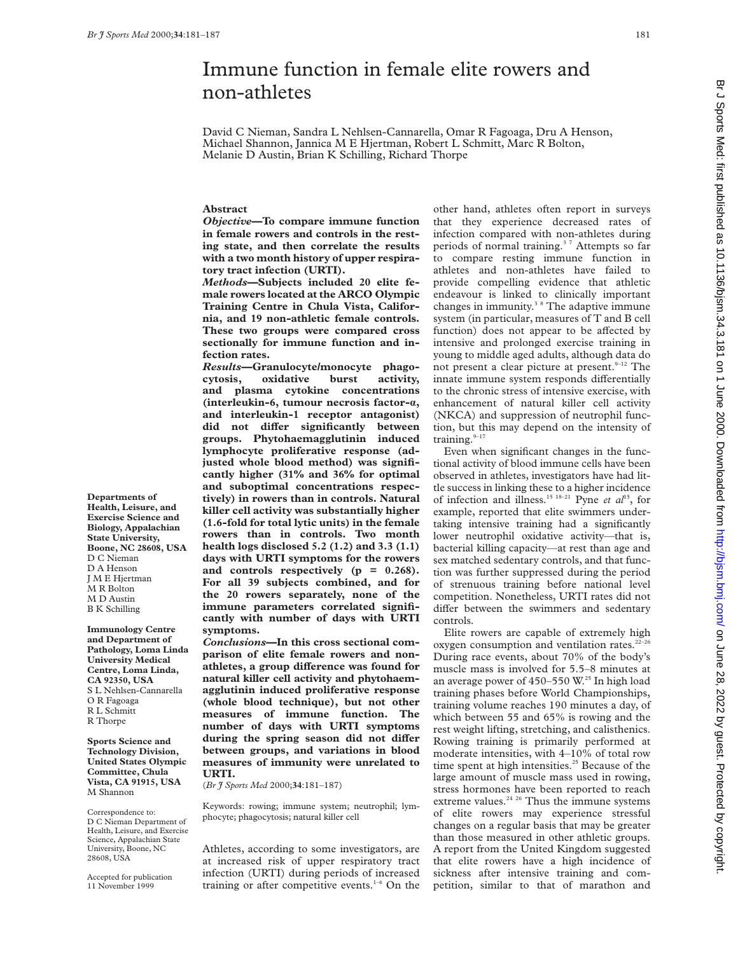# Immune function in female elite rowers and non-athletes

David C Nieman, Sandra L Nehlsen-Cannarella, Omar R Fagoaga, Dru A Henson, Michael Shannon, Jannica M E Hjertman, Robert L Schmitt, Marc R Bolton, Melanie D Austin, Brian K Schilling, Richard Thorpe

# **Abstract**

*Objective***—To compare immune function in female rowers and controls in the resting state, and then correlate the results with a two month history of upper respiratory tract infection (URTI).**

*Methods***—Subjects included 20 elite female rowers located at the ARCO Olympic Training Centre in Chula Vista, California, and 19 non-athletic female controls. These two groups were compared cross sectionally for immune function and infection rates.**

*Results***—Granulocyte/monocyte phagocytosis, oxidative burst activity, and plasma cytokine concentrations (interleukin-6, tumour necrosis factor-á, and interleukin-1 receptor antagonist)** did not differ significantly between **groups. Phytohaemagglutinin induced lymphocyte proliferative response (adjusted whole blood method) was significantly higher (31% and 36% for optimal and suboptimal concentrations respectively) in rowers than in controls. Natural killer cell activity was substantially higher (1.6-fold for total lytic units) in the female rowers than in controls. Two month health logs disclosed 5.2 (1.2) and 3.3 (1.1) days with URTI symptoms for the rowers and controls respectively (p = 0.268). For all 39 subjects combined, and for the 20 rowers separately, none of the immune parameters correlated significantly with number of days with URTI symptoms.**

*Conclusions***—In this cross sectional comparison of elite female rowers and non**athletes, a group difference was found for **natural killer cell activity and phytohaemagglutinin induced proliferative response (whole blood technique), but not other measures of immune function. The number of days with URTI symptoms** during the spring season did not differ **between groups, and variations in blood measures of immunity were unrelated to URTI.**

(*Br J Sports Med* 2000;**34**:181–187)

Keywords: rowing; immune system; neutrophil; lymphocyte; phagocytosis; natural killer cell

Athletes, according to some investigators, are at increased risk of upper respiratory tract infection (URTI) during periods of increased training or after competitive events. $1-6$  On the other hand, athletes often report in surveys that they experience decreased rates of infection compared with non-athletes during periods of normal training.<sup>37</sup> Attempts so far to compare resting immune function in athletes and non-athletes have failed to provide compelling evidence that athletic endeavour is linked to clinically important changes in immunity.<sup>3 8</sup> The adaptive immune system (in particular, measures of T and B cell function) does not appear to be affected by intensive and prolonged exercise training in young to middle aged adults, although data do not present a clear picture at present.<sup>9-12</sup> The innate immune system responds differentially to the chronic stress of intensive exercise, with enhancement of natural killer cell activity (NKCA) and suppression of neutrophil function, but this may depend on the intensity of training. $9-17$ 

Even when significant changes in the functional activity of blood immune cells have been observed in athletes, investigators have had little success in linking these to a higher incidence of infection and illness.15 18–21 Pyne *et al*15, for example, reported that elite swimmers undertaking intensive training had a significantly lower neutrophil oxidative activity—that is, bacterial killing capacity—at rest than age and sex matched sedentary controls, and that function was further suppressed during the period of strenuous training before national level competition. Nonetheless, URTI rates did not differ between the swimmers and sedentary controls.

Elite rowers are capable of extremely high oxygen consumption and ventilation rates. $2^{2-26}$ During race events, about 70% of the body's muscle mass is involved for 5.5–8 minutes at an average power of 450–550 W.25 In high load training phases before World Championships, training volume reaches 190 minutes a day, of which between 55 and 65% is rowing and the rest weight lifting, stretching, and calisthenics. Rowing training is primarily performed at moderate intensities, with 4–10% of total row time spent at high intensities.<sup>25</sup> Because of the large amount of muscle mass used in rowing, stress hormones have been reported to reach extreme values.<sup>24 26</sup> Thus the immune systems of elite rowers may experience stressful changes on a regular basis that may be greater than those measured in other athletic groups. A report from the United Kingdom suggested that elite rowers have a high incidence of sickness after intensive training and competition, similar to that of marathon and

**Departments of Health, Leisure, and Exercise Science and Biology, Appalachian State University, Boone, NC 28608, USA** D C Nieman D A Henson J M E Hjertman M R Bolton M D Austin B K Schilling

**Immunology Centre and Department of Pathology, Loma Linda University Medical Centre, Loma Linda, CA 92350, USA** S L Nehlsen-Cannarella O R Fagoaga R L Schmitt R Thorpe

**Sports Science and Technology Division, United States Olympic Committee, Chula Vista, CA 91915, USA** M Shannon

Correspondence to: D C Nieman Department of Health, Leisure, and Exercise Science, Appalachian State University, Boone, NC 28608, USA

Accepted for publication 11 November 1999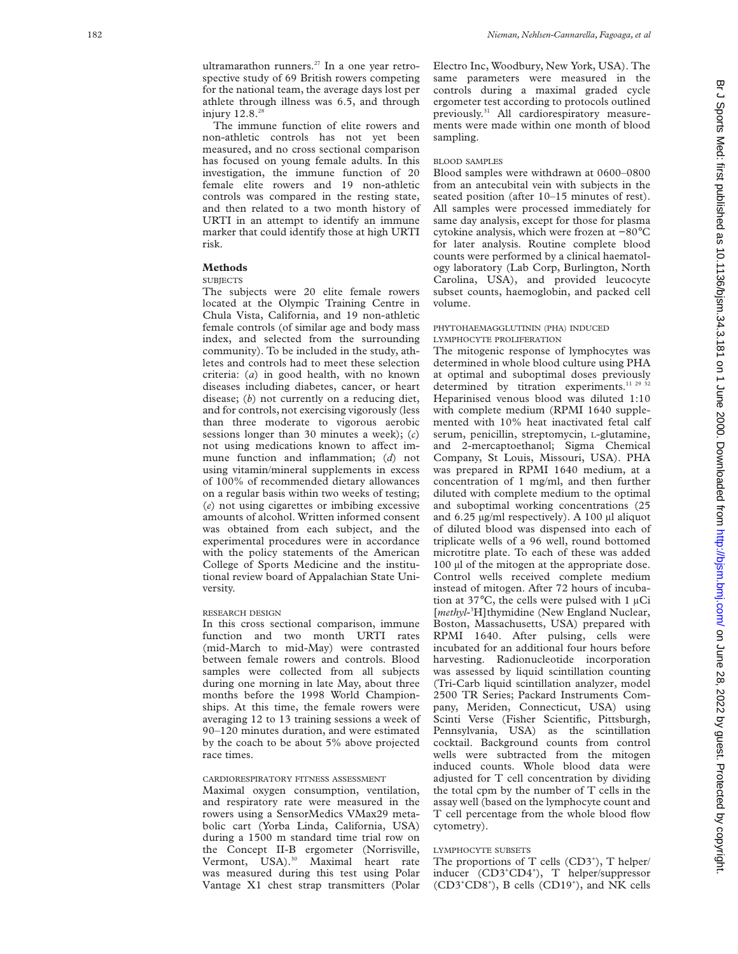ultramarathon runners.<sup>27</sup> In a one year retrospective study of 69 British rowers competing for the national team, the average days lost per athlete through illness was 6.5, and through injury  $12.8.^{28}$ 

The immune function of elite rowers and non-athletic controls has not yet been measured, and no cross sectional comparison has focused on young female adults. In this investigation, the immune function of 20 female elite rowers and 19 non-athletic controls was compared in the resting state, and then related to a two month history of URTI in an attempt to identify an immune marker that could identify those at high URTI risk.

# **Methods**

# SUBJECTS

The subjects were 20 elite female rowers located at the Olympic Training Centre in Chula Vista, California, and 19 non-athletic female controls (of similar age and body mass index, and selected from the surrounding community). To be included in the study, athletes and controls had to meet these selection criteria: ( *a*) in good health, with no known diseases including diabetes, cancer, or heart disease; ( *b*) not currently on a reducing diet, and for controls, not exercising vigorously (less than three moderate to vigorous aerobic sessions longer than 30 minutes a week); ( *c* ) not using medications known to affect immune function and inflammation; (*d*) not using vitamin/mineral supplements in excess of 100% of recommended dietary allowances on a regular basis within two weeks of testing; (*e*) not using cigarettes or imbibing excessive amounts of alcohol. Written informed consent was obtained from each subject, and the experimental procedures were in accordance with the policy statements of the American College of Sports Medicine and the institutional review board of Appalachian State University.

#### RESEARCH DESIGN

In this cross sectional comparison, immune function and two month URTI rates (mid-March to mid-May) were contrasted between female rowers and controls. Blood samples were collected from all subjects during one morning in late May, about three months before the 1998 World Championships. At this time, the female rowers were averaging 12 to 13 training sessions a week of 90–120 minutes duration, and were estimated by the coach to be about 5% above projected race times.

# CARDIORESPIRATORY FITNESS ASSESSMENT

Maximal oxygen consumption, ventilation, and respiratory rate were measured in the rowers using a SensorMedics VMax29 metabolic cart (Yorba Linda, California, USA) during a 1500 m standard time trial row on the Concept II-B ergometer (Norrisville, Vermont, USA).<sup>30</sup> Maximal heart rate was measured during this test using Polar Vantage X1 chest strap transmitters (Polar

Electro Inc, Woodbury, New York, USA). The same parameters were measured in the controls during a maximal graded cycle ergometer test according to protocols outlined previously.<sup>31</sup> All cardiorespiratory measurements were made within one month of blood sampling.

#### BLOOD SAMPLES

Blood samples were withdrawn at 0600–0800 from an antecubital vein with subjects in the seated position (after 10–15 minutes of rest). All samples were processed immediately for same day analysis, except for those for plasma cytokine analysis, which were frozen at −80 ° C for later analysis. Routine complete blood counts were performed by a clinical haematology laboratory (Lab Corp, Burlington, North Carolina, USA), and provided leucocyte subset counts, haemoglobin, and packed cell volume.

### PHYTOHAEMAGGLUTININ (PHA ) INDUCED LYMPHOCYTE PROLIFERATION

The mitogenic response of lymphocytes was determined in whole blood culture using PHA at optimal and suboptimal doses previously determined by titration experiments.<sup>11 29</sup>  $32$ Heparinised venous blood was diluted 1:10 with complete medium (RPMI 1640 supplemented with 10% heat inactivated fetal calf serum, penicillin, streptomycin, L-glutamine, and 2-mercaptoethanol; Sigma Chemical Company, St Louis, Missouri, USA). PHA was prepared in RPMI 1640 medium, at a concentration of 1 mg/ml, and then further diluted with complete medium to the optimal and suboptimal working concentrations (25 and  $6.25 \mu$ g/ml respectively). A 100  $\mu$ l aliquot of diluted blood was dispensed into each of triplicate wells of a 96 well, round bottomed microtitre plate. To each of these was added 100 µl of the mitogen at the appropriate dose. Control wells received complete medium instead of mitogen. After 72 hours of incubation at  $37^{\circ}$ C, the cells were pulsed with 1 µCi [*methyl*-3 H]thymidine (New England Nuclear, Boston, Massachusetts, USA) prepared with RPMI 1640. After pulsing, cells were incubated for an additional four hours before harvesting. Radionucleotide incorporation was assessed by liquid scintillation counting (Tri-Carb liquid scintillation analyzer, model 2500 TR Series; Packard Instruments Company, Meriden, Connecticut, USA) using Scinti Verse (Fisher Scientific, Pittsburgh, Pennsylvania, USA) as the scintillation cocktail. Background counts from control wells were subtracted from the mitogen induced counts. Whole blood data were adjusted for T cell concentration by dividing the total cpm by the number of T cells in the assay well (based on the lymphocyte count and T cell percentage from the whole blood flow cytometry).

# LYMPHOCYTE SUBSETS

The proportions of  $T$  cells  $(CD3^*)$ ,  $T$  helper/ inducer (CD3+CD4+), T helper/suppressor (CD3<sup>+</sup>CD8<sup>+</sup>), B cells (CD19<sup>+</sup>), and NK cells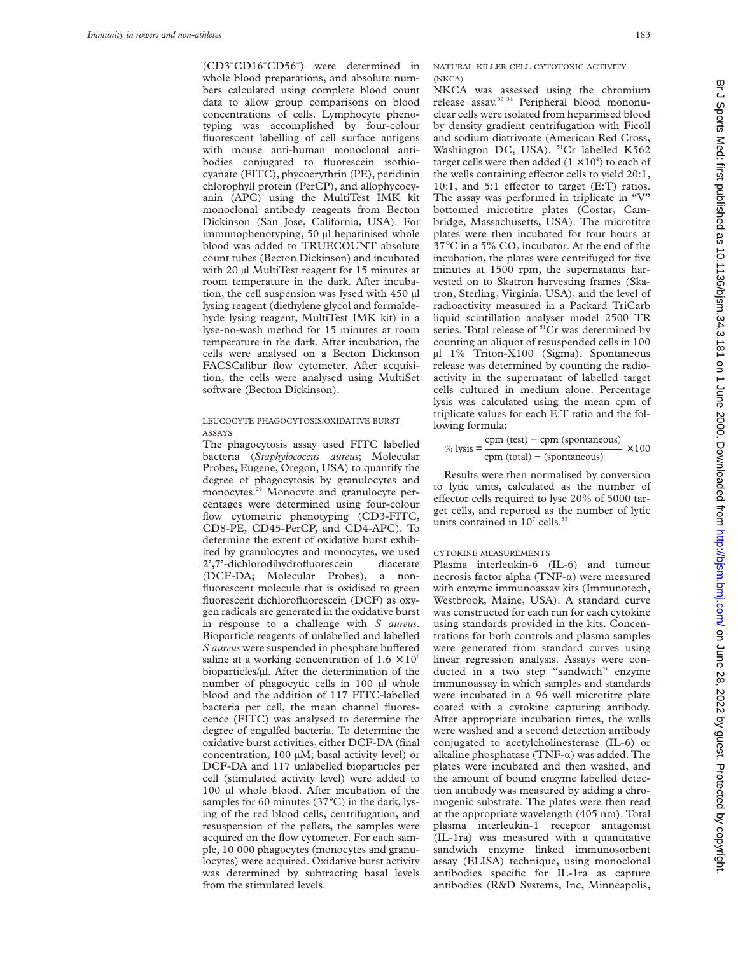(CD3− CD16+ CD56+ ) were determined in whole blood preparations, and absolute numbers calculated using complete blood count data to allow group comparisons on blood concentrations of cells. Lymphocyte phenotyping was accomplished by four-colour fluorescent labelling of cell surface antigens with mouse anti-human monoclonal antibodies conjugated to fluorescein isothiocyanate (FITC), phycoerythrin (PE), peridinin chlorophyll protein (PerCP), and allophycocyanin (APC) using the MultiTest IMK kit monoclonal antibody reagents from Becton Dickinson (San Jose, California, USA). For immunophenotyping, 50 µl heparinised whole blood was added to TRUECOUNT absolute count tubes (Becton Dickinson) and incubated with 20 µl MultiTest reagent for 15 minutes at room temperature in the dark. After incubation, the cell suspension was lysed with 450 µl lysing reagent (diethylene glycol and formaldehyde lysing reagent, MultiTest IMK kit) in a lyse-no-wash method for 15 minutes at room temperature in the dark. After incubation, the cells were analysed on a Becton Dickinson FACSCalibur flow cytometer. After acquisition, the cells were analysed using MultiSet software (Becton Dickinson).

# LEUCOCYTE PHAGOCYTOSIS/OXIDATIVE BURST ASSAYS

The phagocytosis assay used FITC labelled bacteria (*Staphylococcus aureus*; Molecular Probes, Eugene, Oregon, USA) to quantify the degree of phagocytosis by granulocytes and monocytes.<sup>29</sup> Monocyte and granulocyte percentages were determined using four-colour flow cytometric phenotyping (CD3-FITC, CD8-PE, CD45-PerCP, and CD4-APC). To determine the extent of oxidative burst exhibited by granulocytes and monocytes, we used 2',7'-dichlorodihydrofluorescein diacetate (DCF-DA; Molecular Probes), a nonfluorescent molecule that is oxidised to green fluorescent dichlorofluorescein (DCF) as oxygen radicals are generated in the oxidative burst in response to a challenge with *S aureus*. Bioparticle reagents of unlabelled and labelled *S aureus* were suspended in phosphate buffered saline at a working concentration of  $1.6 \times 10^6$ bioparticles/µl. After the determination of the number of phagocytic cells in 100 µl whole blood and the addition of 117 FITC-labelled bacteria per cell, the mean channel fluorescence (FITC) was analysed to determine the degree of engulfed bacteria. To determine the oxidative burst activities, either DCF-DA (final concentration, 100 µM; basal activity level) or DCF-DA and 117 unlabelled bioparticles per cell (stimulated activity level) were added to 100 µl whole blood. After incubation of the samples for 60 minutes (37°C) in the dark, lysing of the red blood cells, centrifugation, and resuspension of the pellets, the samples were acquired on the flow cytometer. For each sample, 10 000 phagocytes (monocytes and granulocytes) were acquired. Oxidative burst activity was determined by subtracting basal levels from the stimulated levels.

# NATURAL KILLER CELL CYTOTOXIC ACTIVITY (NKCA)

NKCA was assessed using the chromium release assay.33 34 Peripheral blood mononuclear cells were isolated from heparinised blood by density gradient centrifugation with Ficoll and sodium diatrivoate (American Red Cross, Washington DC, USA). <sup>51</sup>Cr labelled K562 target cells were then added  $(1 \times 10^4)$  to each of the wells containing effector cells to yield  $20:1$ , 10:1, and 5:1 effector to target  $(E:T)$  ratios. The assay was performed in triplicate in "V" bottomed microtitre plates (Costar, Cambridge, Massachusetts, USA). The microtitre plates were then incubated for four hours at 37 $\rm{°C}$  in a 5% CO<sub>2</sub> incubator. At the end of the incubation, the plates were centrifuged for five minutes at 1500 rpm, the supernatants harvested on to Skatron harvesting frames (Skatron, Sterling, Virginia, USA), and the level of radioactivity measured in a Packard TriCarb liquid scintillation analyser model 2500 TR series. Total release of <sup>51</sup>Cr was determined by counting an aliquot of resuspended cells in 100 µl 1% Triton-X100 (Sigma). Spontaneous release was determined by counting the radioactivity in the supernatant of labelled target cells cultured in medium alone. Percentage lysis was calculated using the mean cpm of triplicate values for each E:T ratio and the following formula:

$$
\% \text{ lysis} = \frac{\text{cpm (test)} - \text{cpm (spontaneous)}}{\text{cpm (total)} - (\text{spontaneous})} \times 100
$$

Results were then normalised by conversion to lytic units, calculated as the number of effector cells required to lyse  $20\%$  of 5000 target cells, and reported as the number of lytic units contained in  $10^7$  cells.<sup>33</sup>

#### CYTOKINE MEASUREMENTS

Plasma interleukin-6 (IL-6) and tumour necrosis factor alpha (TNF- $\alpha$ ) were measured with enzyme immunoassay kits (Immunotech, Westbrook, Maine, USA). A standard curve was constructed for each run for each cytokine using standards provided in the kits. Concentrations for both controls and plasma samples were generated from standard curves using linear regression analysis. Assays were conducted in a two step "sandwich" enzyme immunoassay in which samples and standards were incubated in a 96 well microtitre plate coated with a cytokine capturing antibody. After appropriate incubation times, the wells were washed and a second detection antibody conjugated to acetylcholinesterase (IL-6) or alkaline phosphatase ( $TNF-\alpha$ ) was added. The plates were incubated and then washed, and the amount of bound enzyme labelled detection antibody was measured by adding a chromogenic substrate. The plates were then read at the appropriate wavelength (405 nm). Total plasma interleukin-1 receptor antagonist (IL-1ra) was measured with a quantitative sandwich enzyme linked immunosorbent assay (ELISA) technique, using monoclonal antibodies specific for IL-1ra as capture antibodies (R&D Systems, Inc, Minneapolis,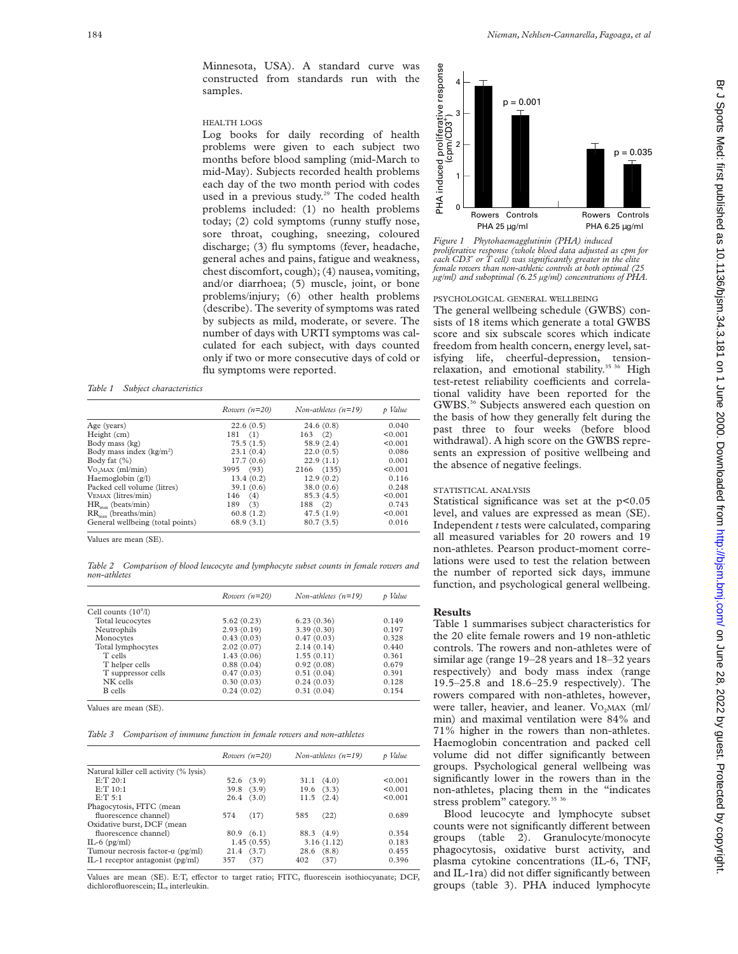Minnesota, USA). A standard curve was constructed from standards run with the samples.

### HEALTH LOGS

Log books for daily recording of health problems were given to each subject two months before blood sampling (mid-March to mid-May). Subjects recorded health problems each day of the two month period with codes used in a previous study.<sup>29</sup> The coded health problems included: (1) no health problems today;  $(2)$  cold symptoms (runny stuffy nose, sore throat, coughing, sneezing, coloured discharge; (3) flu symptoms (fever, headache, general aches and pains, fatigue and weakness, chest discomfort, cough); (4) nausea, vomiting, and/or diarrhoea; (5) muscle, joint, or bone problems/injury; (6) other health problems (describe). The severity of symptoms was rated by subjects as mild, moderate, or severe. The number of days with URTI symptoms was calculated for each subject, with days counted only if two or more consecutive days of cold or flu symptoms were reported.

#### *Table 1 Subject characteristics*

|                                  | Rowers $(n=20)$ | Non-athletes $(n=19)$ | p Value |
|----------------------------------|-----------------|-----------------------|---------|
| Age (years)                      | 22.6(0.5)       | 24.6(0.8)             | 0.040   |
| Height (cm)                      | 181(1)          | $163$ (2)             | < 0.001 |
| Body mass (kg)                   | 75.5(1.5)       | 58.9 (2.4)            | < 0.001 |
| Body mass index $(kg/m2)$        | 23.1(0.4)       | 22.0(0.5)             | 0.086   |
| Body fat $(\%)$                  | 17.7(0.6)       | 22.9(1.1)             | 0.001   |
| Vo <sub>2</sub> MAX (ml/min)     | 3995 (93)       | 2166 (135)            | < 0.001 |
| Haemoglobin $(g/l)$              | 13.4(0.2)       | 12.9(0.2)             | 0.116   |
| Packed cell volume (litres)      | 39.1(0.6)       | 38.0(0.6)             | 0.248   |
| VEMAX (litres/min)               | $146$ (4)       | 85.3(4.5)             | < 0.001 |
| $HR_{\text{max}}$ (beats/min)    | 189<br>(3)      | 188 (2)               | 0.743   |
| $RR_{\text{max}}$ (breaths/min)  | 60.8(1.2)       | 47.5(1.9)             | < 0.001 |
| General wellbeing (total points) | 68.9(3.1)       | 80.7(3.5)             | 0.016   |
|                                  |                 |                       |         |

Values are mean (SE).

*Table 2 Comparison of blood leucocyte and lymphocyte subset counts in female rowers and non-athletes*

|                        | Rowers $(n=20)$ | Non-athletes $(n=19)$ | p Value |
|------------------------|-----------------|-----------------------|---------|
| Cell counts $(10^9/l)$ |                 |                       |         |
| Total leucocytes       | 5.62(0.23)      | 6.23(0.36)            | 0.149   |
| Neutrophils            | 2.93(0.19)      | 3.39(0.30)            | 0.197   |
| Monocytes              | 0.43(0.03)      | 0.47(0.03)            | 0.328   |
| Total lymphocytes      | 2.02(0.07)      | 2.14(0.14)            | 0.440   |
| T cells                | 1.43(0.06)      | 1.55(0.11)            | 0.361   |
| T helper cells         | 0.88(0.04)      | 0.92(0.08)            | 0.679   |
| T suppressor cells     | 0.47(0.03)      | 0.51(0.04)            | 0.391   |
| NK cells               | 0.30(0.03)      | 0.24(0.03)            | 0.128   |
| <b>B</b> cells         | 0.24(0.02)      | 0.31(0.04)            | 0.154   |

Values are mean (SE).

*Table 3 Comparison of immune function in female rowers and non-athletes*

| Rowers $(n=20)$    | Non-athletes $(n=19)$ | p Value    |
|--------------------|-----------------------|------------|
|                    |                       |            |
| 52.6 (3.9)         | $31.1 \quad (4.0)$    | < 0.001    |
| $39.8$ $(3.9)$     | $19.6$ $(3.3)$        | < 0.001    |
| 26.4(3.0)          | $11.5$ $(2.4)$        | < 0.001    |
|                    |                       |            |
| (17)<br>574        | (22)<br>585           | 0.689      |
|                    |                       |            |
| 80.9(6.1)          | 88.3 (4.9)            | 0.354      |
| 1.45(0.55)         |                       | 0.183      |
| $21.4 \quad (3.7)$ | $28.6$ $(8.8)$        | 0.455      |
| (37)<br>357        | (37)<br>402           | 0.396      |
|                    |                       | 3.16(1.12) |

Values are mean (SE). E:T, effector to target ratio; FITC, fluorescein isothiocyanate; DCF, dichlorofluorescein; IL, interleukin.



*Figure 1 Phytohaemagglutinin (PHA) induced proliferative response (whole blood data adjusted as cpm for each CD3+ or T cell) was significantly greater in the elite female rowers than non-athletic controls at both optimal (25 µg/ml) and suboptimal (6.25 µg/ml) concentrations of PHA.*

# PSYCHOLOGICAL GENERAL WELLBEING

The general wellbeing schedule (GWBS) consists of 18 items which generate a total GWBS score and six subscale scores which indicate freedom from health concern, energy level, satisfying life, cheerful-depression, tensionrelaxation, and emotional stability.<sup>35 36</sup> High test-retest reliability coefficients and correlational validity have been reported for the GWBS.<sup>36</sup> Subjects answered each question on the basis of how they generally felt during the past three to four weeks (before blood withdrawal). A high score on the GWBS represents an expression of positive wellbeing and the absence of negative feelings.

# STATISTICAL ANALYSIS

Statistical significance was set at the p<0.05 level, and values are expressed as mean (SE). Independent *t* tests were calculated, comparing all measured variables for 20 rowers and 19 non-athletes. Pearson product-moment correlations were used to test the relation between the number of reported sick days, immune function, and psychological general wellbeing.

#### **Results**

Table 1 summarises subject characteristics for the 20 elite female rowers and 19 non-athletic controls. The rowers and non-athletes were of similar age (range 19–28 years and 18–32 years respectively) and body mass index (range 19.5–25.8 and 18.6–25.9 respectively). The rowers compared with non-athletes, however, were taller, heavier, and leaner. VO<sub>2</sub>MAX (ml/ min) and maximal ventilation were 84% and 71% higher in the rowers than non-athletes. Haemoglobin concentration and packed cell volume did not differ significantly between groups. Psychological general wellbeing was significantly lower in the rowers than in the non-athletes, placing them in the "indicates stress problem" category.<sup>35</sup> 36

Blood leucocyte and lymphocyte subset counts were not significantly different between groups (table 2). Granulocyte/monocyte phagocytosis, oxidative burst activity, and plasma cytokine concentrations (IL-6, TNF, and IL-1ra) did not differ significantly between groups (table 3). PHA induced lymphocyte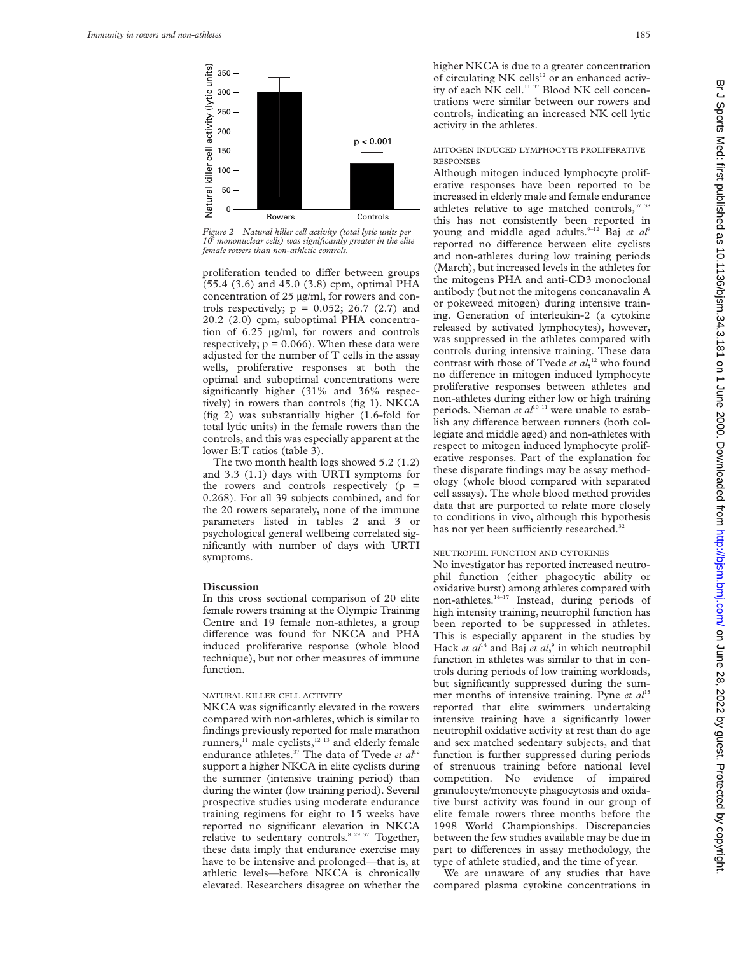

*Figure 2 Natural killer cell activity (total lytic units per mononuclear cells) was significantly greater in the elite female rowers than non-athletic controls.*

proliferation tended to differ between groups (55.4 (3.6) and 45.0 (3.8) cpm, optimal PHA concentration of 25 µg/ml, for rowers and controls respectively;  $p = 0.052$ ; 26.7 (2.7) and 20.2 (2.0) cpm, suboptimal PHA concentration of 6.25 µg/ml, for rowers and controls respectively;  $p = 0.066$ ). When these data were adjusted for the number of T cells in the assay wells, proliferative responses at both the optimal and suboptimal concentrations were significantly higher (31% and 36% respectively) in rowers than controls (fig 1). NKCA (fig 2) was substantially higher (1.6-fold for total lytic units) in the female rowers than the controls, and this was especially apparent at the lower E:T ratios (table 3).

The two month health logs showed 5.2 (1.2) and 3.3 (1.1) days with URTI symptoms for the rowers and controls respectively  $(p =$ 0.268). For all 39 subjects combined, and for the 20 rowers separately, none of the immune parameters listed in tables 2 and 3 or psychological general wellbeing correlated significantly with number of days with URTI symptoms.

# **Discussion**

In this cross sectional comparison of 20 elite female rowers training at the Olympic Training Centre and 19 female non-athletes, a group difference was found for NKCA and PHA induced proliferative response (whole blood technique), but not other measures of immune function.

# NATURAL KILLER CELL ACTIVITY

NKCA was significantly elevated in the rowers compared with non-athletes, which is similar to findings previously reported for male marathon runners, $^{11}$  male cyclists, $^{12}$  <sup>13</sup> and elderly female endurance athletes.<sup>37</sup> The data of Tvede et al<sup>12</sup> support a higher NKCA in elite cyclists during the summer (intensive training period) than during the winter (low training period). Several prospective studies using moderate endurance training regimens for eight to 15 weeks have reported no significant elevation in NKCA relative to sedentary controls.<sup>8 29 37</sup> Together, these data imply that endurance exercise may have to be intensive and prolonged—that is, at athletic levels—before NKCA is chronically elevated. Researchers disagree on whether the

higher NKCA is due to a greater concentration of circulating NK cells<sup>12</sup> or an enhanced activity of each NK cell.<sup>11 37</sup> Blood NK cell concentrations were similar between our rowers and controls, indicating an increased NK cell lytic activity in the athletes.

# MITOGEN INDUCED LYMPHOCYTE PROLIFERATIVE **RESPONSES**

Although mitogen induced lymphocyte proliferative responses have been reported to be increased in elderly male and female endurance athletes relative to age matched controls,<sup>37 38</sup> this has not consistently been reported in young and middle aged adults.<sup>9-12</sup> Baj et al<sup>9</sup> reported no difference between elite cyclists and non-athletes during low training periods (March), but increased levels in the athletes for the mitogens PHA and anti-CD3 monoclonal antibody (but not the mitogens concanavalin A or pokeweed mitogen) during intensive training. Generation of interleukin-2 (a cytokine released by activated lymphocytes), however, was suppressed in the athletes compared with controls during intensive training. These data contrast with those of Tvede *et al*, <sup>12</sup> who found no difference in mitogen induced lymphocyte proliferative responses between athletes and non-athletes during either low or high training periods. Nieman *et al*<sup>10 11</sup> were unable to establish any difference between runners (both collegiate and middle aged) and non-athletes with respect to mitogen induced lymphocyte proliferative responses. Part of the explanation for these disparate findings may be assay methodology (whole blood compared with separated cell assays). The whole blood method provides data that are purported to relate more closely to conditions in vivo, although this hypothesis has not yet been sufficiently researched.<sup>32</sup>

### NEUTROPHIL FUNCTION AND CYTOKINES

No investigator has reported increased neutrophil function (either phagocytic ability or oxidative burst) among athletes compared with non-athletes. $14-17$  Instead, during periods of high intensity training, neutrophil function has been reported to be suppressed in athletes. This is especially apparent in the studies by Hack *et al*<sup>14</sup> and Baj *et al*,<sup>9</sup> in which neutrophil function in athletes was similar to that in controls during periods of low training workloads, but significantly suppressed during the summer months of intensive training. Pyne *et al*<sup>15</sup> reported that elite swimmers undertaking intensive training have a significantly lower neutrophil oxidative activity at rest than do age and sex matched sedentary subjects, and that function is further suppressed during periods of strenuous training before national level competition. No evidence of impaired granulocyte/monocyte phagocytosis and oxidative burst activity was found in our group of elite female rowers three months before the 1998 World Championships. Discrepancies between the few studies available may be due in part to differences in assay methodology, the type of athlete studied, and the time of year.

We are unaware of any studies that have compared plasma cytokine concentrations in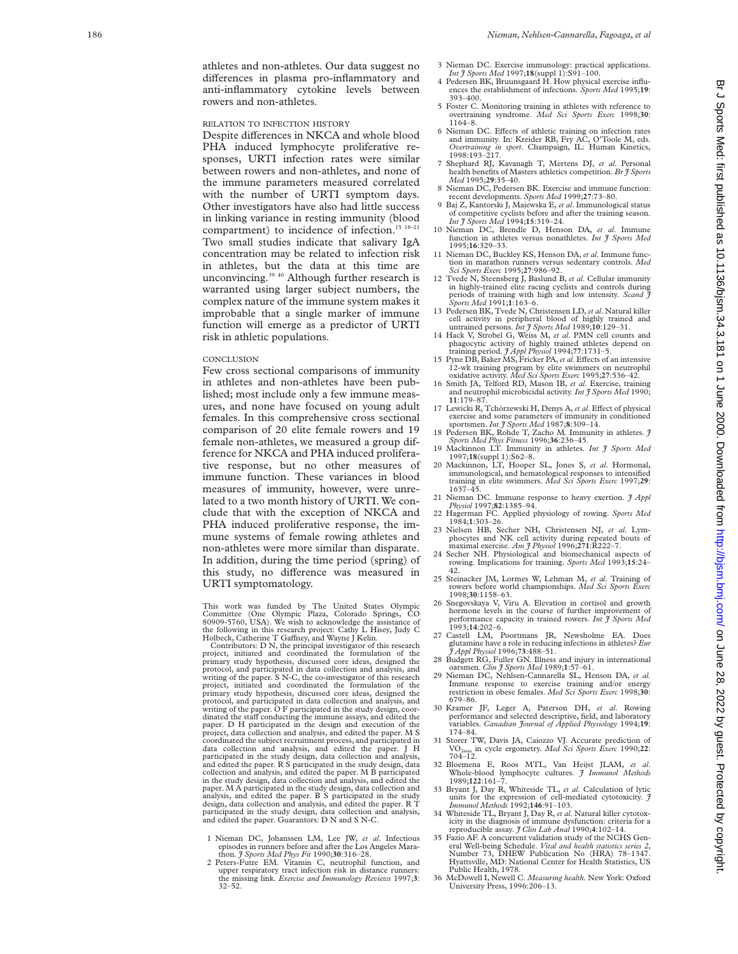athletes and non-athletes. Our data suggest no di Verences in plasma pro-inflammatory and anti-inflammatory cytokine levels between rowers and non-athletes.

### RELATION TO INFECTION HISTORY

Despite differences in NKCA and whole blood PHA induced lymphocyte proliferative responses, URTI infection rates were similar between rowers and non-athletes, and none of the immune parameters measured correlated with the number of URTI symptom days. Other investigators have also had little success in linking variance in resting immunity (blood compartment) to incidence of infection.<sup>15 18-21</sup> Two small studies indicate that salivary IgA concentration may be related to infection risk in athletes, but the data at this time are unconvincing.<sup>39 40</sup> Although further research is warranted using larger subject numbers, the complex nature of the immune system makes it improbable that a single marker of immune function will emerge as a predictor of URTI risk in athletic populations.

#### CONCLUSION

Few cross sectional comparisons of immunity in athletes and non-athletes have been published; most include only a few immune measures, and none have focused on young adult females. In this comprehensive cross sectional comparison of 20 elite female rowers and 19 female non-athletes, we measured a group difference for NKCA and PHA induced proliferative response, but no other measures of immune function. These variances in blood measures of immunity, however, were unrelated to a two month history of URTI. We conclude that with the exception of NKCA and PHA induced proliferative response, the immune systems of female rowing athletes and non-athletes were more similar than disparate. In addition, during the time period (spring) of this study, no difference was measured in URTI symptomatology.

This work was funded by The United States Olympic Committee (One Olympic Plaza, Colorado Springs, CO 80909-5760, USA). We wish to acknowledge the assistance of the following in this research project: Cathy L Hisey, Judy C

Holbeck, Catherine T Ga Vney, and Wayne J Kelin. Contributors: D N, the principal investigator of this research project, initiated and coordinated the formulation of the primary study hypothesis, discussed core ideas, designed the protocol, and participated in data collection and analysis, and writing of the paper. S N-C, the co-investigator of this research project, initiated and coordinated the formulation of the primary study hypothesis, discussed core ideas, designed the protocol, and participated in data collection and analysis, and writing of the paper. O F participated in the study design, coordinated the staff conducting the immune assays, and edited the paper. D H participated in the design and execution of the project, data collection and analysis, and edited the paper. M S coordinated the subject recruitment process, and participated in data collection and analysis, and edited the paper. J H participated in the study design, data collection and analysis, and edited the paper. R S participated in the study design, data collection and analysis, and edited the paper. M B participated in the study design, data collection and analysis, and edited the paper. M A participated in the study design, data collection and analysis, and edited the paper. B S participated in the study design, data collection and analysis, and edited the paper. R T participated in the study design, data collection and analysis, and edited the paper. Guarantors: D N and S N-C.

- 1 Nieman DC, Johanssen LM, Lee JW, *et al*. Infectious episodes in runners before and after the Los Angeles Marathon. *J Sports Med Phys Fit* 1990;**30**:316–28.
- 2 Peters-Futre EM. Vitamin C, neutrophil function, and upper respiratory tract infection risk in distance runners: the missing link. *Exercise and Immunology Reviews* 1997; **3** : 32–52.
- 3 Nieman DC. Exercise immunology: practical applications. *Int J Sports Med* 1997;**18**(suppl 1):S91–100.
- 4 Pedersen BK, Bruunsgaard H. How physical exercise influences the establishment of infections. *Sports Med* 1995;**19**: 393–400.
- 5 Foster C. Monitoring training in athletes with reference to overtraining syndrome. *Med Sci Sports Exerc* 1998;**30** : 1164–8.
- 6 Nieman DC. E Vects of athletic training on infection rates and immunity. In: Kreider RB, Fry AC, O'Toole M, eds. *Overtraining in sport*. Champaign, IL: Human Kinetics, 1998:193–217.
- 7 Shephard RJ, Kavanagh T, Mertens DJ, *et al*. Personal health benefits of Masters athletics competition. *Br J Sports Med* 1995;**29**:35–40.
- 8 Nieman DC, Pedersen BK. Exercise and immune function: recent developments. *Sports Med* 1999;**27**:73–80.
- 9 Baj Z, Kantorski J, Majewska E, *et al*. Immunological status of competitive cyclists before and after the training season. *Int J Sports Med* 1994;**15**:319–24.
- 10 Nieman DC, Brendle D, Henson DA, *et al*. Immune function in athletes versus nonathletes. *Int J Sports Med* 1995;**16**:329–33.
- 11 Nieman DC, Buckley KS, Henson DA, *et al*. Immune function in marathon runners versus sedentary controls. *Med Sci Sports Exerc* 1995;**27**:986–92.
- 12 Tvede N, Steensberg J, Baslund B, *et al*. Cellular immunity in highly-trained elite racing cyclists and controls during periods of training with high and low intensity. *Scand J Sports Med* 1991; **1**:163–6.
- 13 Pedersen BK, Tvede N, Christensen LD,*et al*. Natural killer cell activity in peripheral blood of highly trained and untrained persons. *Int J Sports Med* 1989;**10**:129–31.
- 14 Hack V, Strobel G, Weiss M, *et al.* PMN cell counts and phagocytic activity of highly trained athletes depend on training period. *J Appl Physiol* 1994;77:1731–5.<br>15 Pyne DB, Baker MS, Fricker PA, *et al.* Effects of a
- 12-wk training program by elite swimmers on neutrophil oxidative activity. *Med Sci Sports Exerc* 1995;**27**:536–42.
- 16 Smith JA, Telford RD, Mason IB, *et al*. Exercise, training and neutrophil microbicidal activity. *Int J Sports Med* 1990; **11**:179–87.
- 17 Lewicki R, Tchórzewski H, Denys A, et al. Effect of physical exercise and some parameters of immunity in conditioned
- sportsmen. *Int J Sports Med* 1987; **8**:309–14. 18 Pedersen BK, Rohde T, Zacho M. Immunity in athletes. *J Sports Med Phys Fitness* 1996;**36**:236–45. 19 Mackinnon LT. Immunity in athletes. *Int J Sports Med*
- 1997;**18**(suppl 1):S62–8.
- 20 Mackinnon, LT, Hooper SL, Jones S, *et al*. Hormonal, immunological, and hematological responses to intensified training in elite swimmers. *Med Sci Sports Exerc* 1997;**29** : 1637–45.
- 21 Nieman DC. Immune response to heavy exertion. *J Appl Physiol* 1997;**82**:1385–94.
- 22 Hagerman FC. Applied physiology of rowing. *Sports Med* 1984; **1**:303–26.
- 23 Nielsen HB, Secher NH, Christensen NJ, *et al*. Lymphocytes and NK cell activity during repeated bouts of maximal exercise. *Am J Physiol* 1996;**271**:R222–7.
- 24 Secher NH. Physiological and biomechanical aspects of rowing. Implications for training. *Sports Med* 1993;**15**:24– 42.
- 25 Steinacker JM, Lormes W, Lehman M, *et al*. Training of rowers before world championships. *Med Sci Sports Exerc* 1998;**30**:1158–63.
- 26 Snegovskaya V, Viru A. Elevation in cortisol and growth hormone levels in the course of further improvement of performance capacity in trained rowers. *Int J Sports Med* 1993;**14**:202–6.
- 27 Castell LM, Poortmans JR, Newsholme EA. Does glutamine have a role in reducing infections in athletes? *Eur J Appl Physiol* 1996;**73**:488–51.
- 28 Budgett RG, Fuller GN. Illness and injury in international oarsmen. *Clin J Sports Med* 1989; **1**:57–61.
- 29 Nieman DC, Nehlsen-Cannarella SL, Henson DA, *et al* . Immune response to exercise training and/or energy restriction in obese females. *Med Sci Sports Exerc* 1998;**30** : 679–86.
- 30 Kramer JF, Leger A, Paterson DH, *et al*. Rowing performance and selected descriptive, field, and laboratory variables. *Canadian Journal of Applied Physiology* 1994;**19** : 174–84.
- Storer TW, Davis JA, Caiozzo VJ. Accurate prediction of VO2max in cycle ergometry. *Med Sci Sports Exerc* 1990;**22** : 704–12.
- 32 Bloemena E, Roos MTL, Van Heijst JLAM, *et al* . Whole-blood lymphocyte cultures. *J Immunol Methods* 1989;**122**:161–7.
- 33 Bryant J, Day R, Whiteside TL, *et al*. Calculation of lytic units for the expression of cell-mediated cytotoxicity. *J Immunol Methods* 1992;**146**:91–103.
- 34 Whiteside TL, Bryant J, Day R, *et al*. Natural killer cytotoxicity in the diagnosis of immune dysfunction: criteria for a reproducible assay. *J Clin Lab Anal* 1990; **4**:102–14.
- 35 Fazio AF. A concurrent validation study of the NCHS Gen-eral Well-being Schedule. *Vital and health statistics series 2*, Number 73, DHEW Publication No (HRA) 78–1347. Hyattsville, MD: National Center for Health Statistics, US Public Health, 1978.
- 36 McDowell I, Newell C. *Measuring health*. New York: Oxford University Press, 1996:206–13.